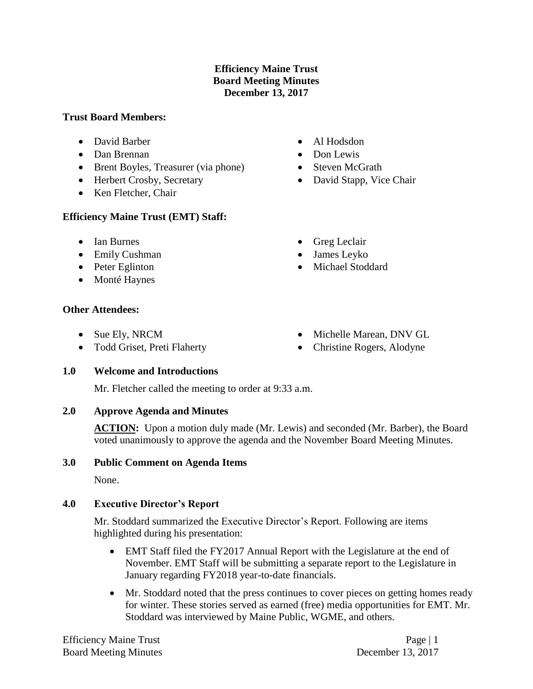### **Efficiency Maine Trust Board Meeting Minutes December 13, 2017**

#### **Trust Board Members:**

- David Barber
- Dan Brennan
- Brent Boyles, Treasurer (via phone)
- Herbert Crosby, Secretary
- Ken Fletcher, Chair

### **Efficiency Maine Trust (EMT) Staff:**

- Ian Burnes
- Emily Cushman
- Peter Eglinton
- Monté Haynes

### **Other Attendees:**

- Sue Ely, NRCM
- Todd Griset, Preti Flaherty
- Al Hodsdon
- Don Lewis
- Steven McGrath
- David Stapp, Vice Chair
- Greg Leclair
- James Leyko
- Michael Stoddard
- Michelle Marean, DNV GL
- Christine Rogers, Alodyne

### **1.0 Welcome and Introductions**

Mr. Fletcher called the meeting to order at 9:33 a.m.

# **2.0 Approve Agenda and Minutes**

ACTION: Upon a motion duly made (Mr. Lewis) and seconded (Mr. Barber), the Board voted unanimously to approve the agenda and the November Board Meeting Minutes.

### **3.0 Public Comment on Agenda Items**

None.

# **4.0 Executive Director's Report**

Mr. Stoddard summarized the Executive Director's Report. Following are items highlighted during his presentation:

- EMT Staff filed the FY2017 Annual Report with the Legislature at the end of November. EMT Staff will be submitting a separate report to the Legislature in January regarding FY2018 year-to-date financials.
- Mr. Stoddard noted that the press continues to cover pieces on getting homes ready for winter. These stories served as earned (free) media opportunities for EMT. Mr. Stoddard was interviewed by Maine Public, WGME, and others.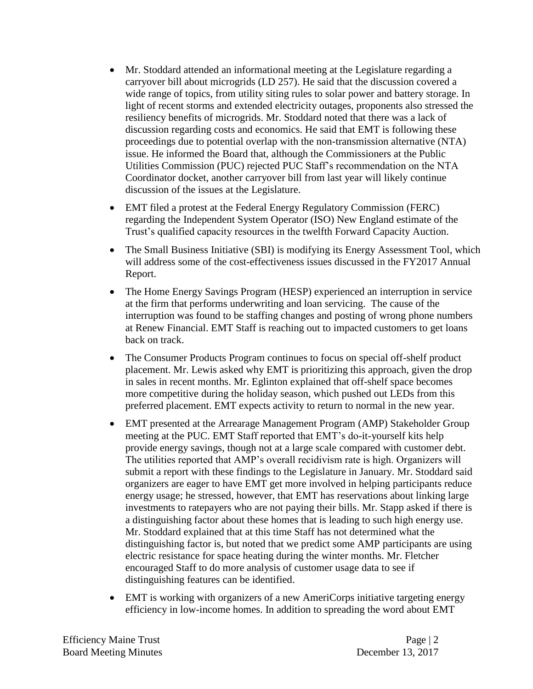- Mr. Stoddard attended an informational meeting at the Legislature regarding a carryover bill about microgrids (LD 257). He said that the discussion covered a wide range of topics, from utility siting rules to solar power and battery storage. In light of recent storms and extended electricity outages, proponents also stressed the resiliency benefits of microgrids. Mr. Stoddard noted that there was a lack of discussion regarding costs and economics. He said that EMT is following these proceedings due to potential overlap with the non-transmission alternative (NTA) issue. He informed the Board that, although the Commissioners at the Public Utilities Commission (PUC) rejected PUC Staff's recommendation on the NTA Coordinator docket, another carryover bill from last year will likely continue discussion of the issues at the Legislature.
- EMT filed a protest at the Federal Energy Regulatory Commission (FERC) regarding the Independent System Operator (ISO) New England estimate of the Trust's qualified capacity resources in the twelfth Forward Capacity Auction.
- The Small Business Initiative (SBI) is modifying its Energy Assessment Tool, which will address some of the cost-effectiveness issues discussed in the FY2017 Annual Report.
- The Home Energy Savings Program (HESP) experienced an interruption in service at the firm that performs underwriting and loan servicing. The cause of the interruption was found to be staffing changes and posting of wrong phone numbers at Renew Financial. EMT Staff is reaching out to impacted customers to get loans back on track.
- The Consumer Products Program continues to focus on special off-shelf product placement. Mr. Lewis asked why EMT is prioritizing this approach, given the drop in sales in recent months. Mr. Eglinton explained that off-shelf space becomes more competitive during the holiday season, which pushed out LEDs from this preferred placement. EMT expects activity to return to normal in the new year.
- EMT presented at the Arrearage Management Program (AMP) Stakeholder Group meeting at the PUC. EMT Staff reported that EMT's do-it-yourself kits help provide energy savings, though not at a large scale compared with customer debt. The utilities reported that AMP's overall recidivism rate is high. Organizers will submit a report with these findings to the Legislature in January. Mr. Stoddard said organizers are eager to have EMT get more involved in helping participants reduce energy usage; he stressed, however, that EMT has reservations about linking large investments to ratepayers who are not paying their bills. Mr. Stapp asked if there is a distinguishing factor about these homes that is leading to such high energy use. Mr. Stoddard explained that at this time Staff has not determined what the distinguishing factor is, but noted that we predict some AMP participants are using electric resistance for space heating during the winter months. Mr. Fletcher encouraged Staff to do more analysis of customer usage data to see if distinguishing features can be identified.
- EMT is working with organizers of a new AmeriCorps initiative targeting energy efficiency in low-income homes. In addition to spreading the word about EMT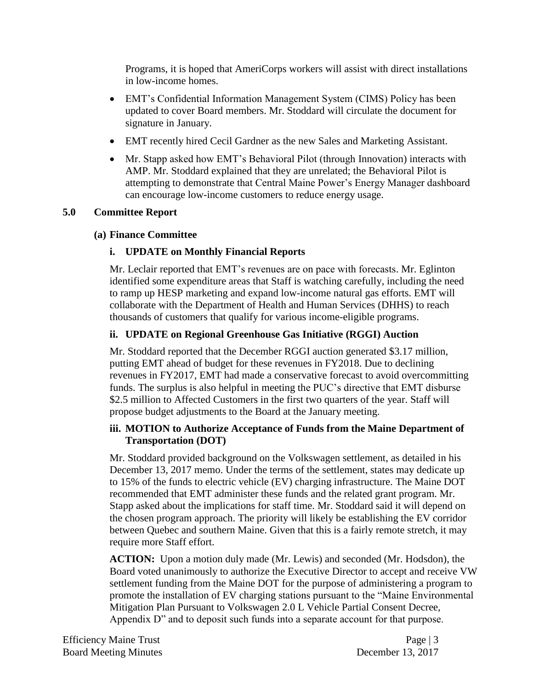Programs, it is hoped that AmeriCorps workers will assist with direct installations in low-income homes.

- EMT's Confidential Information Management System (CIMS) Policy has been updated to cover Board members. Mr. Stoddard will circulate the document for signature in January.
- EMT recently hired Cecil Gardner as the new Sales and Marketing Assistant.
- Mr. Stapp asked how EMT's Behavioral Pilot (through Innovation) interacts with AMP. Mr. Stoddard explained that they are unrelated; the Behavioral Pilot is attempting to demonstrate that Central Maine Power's Energy Manager dashboard can encourage low-income customers to reduce energy usage.

### **5.0 Committee Report**

### **(a) Finance Committee**

# **i. UPDATE on Monthly Financial Reports**

Mr. Leclair reported that EMT's revenues are on pace with forecasts. Mr. Eglinton identified some expenditure areas that Staff is watching carefully, including the need to ramp up HESP marketing and expand low-income natural gas efforts. EMT will collaborate with the Department of Health and Human Services (DHHS) to reach thousands of customers that qualify for various income-eligible programs.

# **ii. UPDATE on Regional Greenhouse Gas Initiative (RGGI) Auction**

Mr. Stoddard reported that the December RGGI auction generated \$3.17 million, putting EMT ahead of budget for these revenues in FY2018. Due to declining revenues in FY2017, EMT had made a conservative forecast to avoid overcommitting funds. The surplus is also helpful in meeting the PUC's directive that EMT disburse \$2.5 million to Affected Customers in the first two quarters of the year. Staff will propose budget adjustments to the Board at the January meeting.

# **iii. MOTION to Authorize Acceptance of Funds from the Maine Department of Transportation (DOT)**

Mr. Stoddard provided background on the Volkswagen settlement, as detailed in his December 13, 2017 memo. Under the terms of the settlement, states may dedicate up to 15% of the funds to electric vehicle (EV) charging infrastructure. The Maine DOT recommended that EMT administer these funds and the related grant program. Mr. Stapp asked about the implications for staff time. Mr. Stoddard said it will depend on the chosen program approach. The priority will likely be establishing the EV corridor between Quebec and southern Maine. Given that this is a fairly remote stretch, it may require more Staff effort.

**ACTION:** Upon a motion duly made (Mr. Lewis) and seconded (Mr. Hodsdon), the Board voted unanimously to authorize the Executive Director to accept and receive VW settlement funding from the Maine DOT for the purpose of administering a program to promote the installation of EV charging stations pursuant to the "Maine Environmental Mitigation Plan Pursuant to Volkswagen 2.0 L Vehicle Partial Consent Decree, Appendix D" and to deposit such funds into a separate account for that purpose.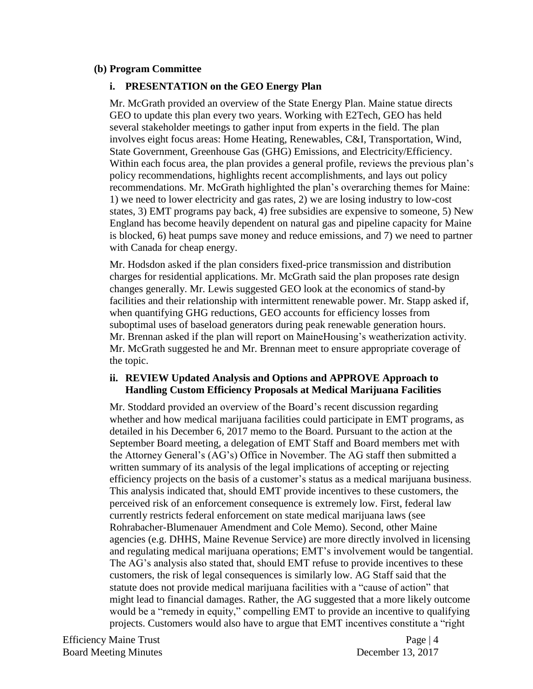#### **(b) Program Committee**

#### **i. PRESENTATION on the GEO Energy Plan**

Mr. McGrath provided an overview of the State Energy Plan. Maine statue directs GEO to update this plan every two years. Working with E2Tech, GEO has held several stakeholder meetings to gather input from experts in the field. The plan involves eight focus areas: Home Heating, Renewables, C&I, Transportation, Wind, State Government, Greenhouse Gas (GHG) Emissions, and Electricity/Efficiency. Within each focus area, the plan provides a general profile, reviews the previous plan's policy recommendations, highlights recent accomplishments, and lays out policy recommendations. Mr. McGrath highlighted the plan's overarching themes for Maine: 1) we need to lower electricity and gas rates, 2) we are losing industry to low-cost states, 3) EMT programs pay back, 4) free subsidies are expensive to someone, 5) New England has become heavily dependent on natural gas and pipeline capacity for Maine is blocked, 6) heat pumps save money and reduce emissions, and 7) we need to partner with Canada for cheap energy.

Mr. Hodsdon asked if the plan considers fixed-price transmission and distribution charges for residential applications. Mr. McGrath said the plan proposes rate design changes generally. Mr. Lewis suggested GEO look at the economics of stand-by facilities and their relationship with intermittent renewable power. Mr. Stapp asked if, when quantifying GHG reductions, GEO accounts for efficiency losses from suboptimal uses of baseload generators during peak renewable generation hours. Mr. Brennan asked if the plan will report on MaineHousing's weatherization activity. Mr. McGrath suggested he and Mr. Brennan meet to ensure appropriate coverage of the topic.

#### **ii. REVIEW Updated Analysis and Options and APPROVE Approach to Handling Custom Efficiency Proposals at Medical Marijuana Facilities**

Mr. Stoddard provided an overview of the Board's recent discussion regarding whether and how medical marijuana facilities could participate in EMT programs, as detailed in his December 6, 2017 memo to the Board. Pursuant to the action at the September Board meeting, a delegation of EMT Staff and Board members met with the Attorney General's (AG's) Office in November. The AG staff then submitted a written summary of its analysis of the legal implications of accepting or rejecting efficiency projects on the basis of a customer's status as a medical marijuana business. This analysis indicated that, should EMT provide incentives to these customers, the perceived risk of an enforcement consequence is extremely low. First, federal law currently restricts federal enforcement on state medical marijuana laws (see Rohrabacher-Blumenauer Amendment and Cole Memo). Second, other Maine agencies (e.g. DHHS, Maine Revenue Service) are more directly involved in licensing and regulating medical marijuana operations; EMT's involvement would be tangential. The AG's analysis also stated that, should EMT refuse to provide incentives to these customers, the risk of legal consequences is similarly low. AG Staff said that the statute does not provide medical marijuana facilities with a "cause of action" that might lead to financial damages. Rather, the AG suggested that a more likely outcome would be a "remedy in equity," compelling EMT to provide an incentive to qualifying projects. Customers would also have to argue that EMT incentives constitute a "right

Efficiency Maine Trust Page | 4 Board Meeting Minutes December 13, 2017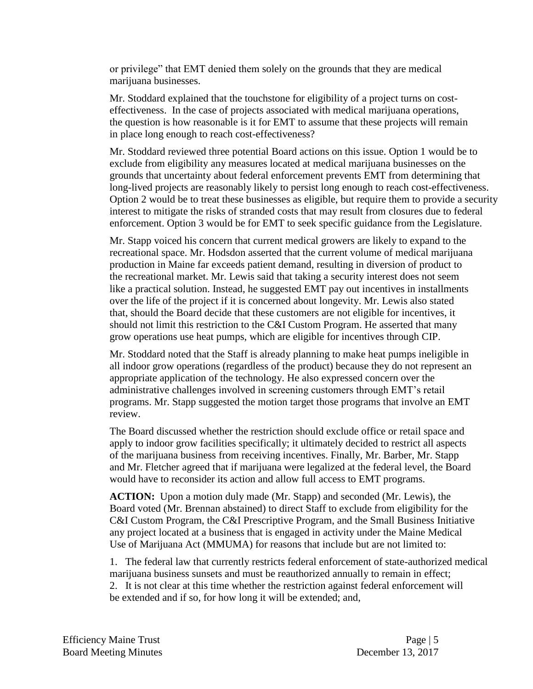or privilege" that EMT denied them solely on the grounds that they are medical marijuana businesses.

Mr. Stoddard explained that the touchstone for eligibility of a project turns on costeffectiveness. In the case of projects associated with medical marijuana operations, the question is how reasonable is it for EMT to assume that these projects will remain in place long enough to reach cost-effectiveness?

Mr. Stoddard reviewed three potential Board actions on this issue. Option 1 would be to exclude from eligibility any measures located at medical marijuana businesses on the grounds that uncertainty about federal enforcement prevents EMT from determining that long-lived projects are reasonably likely to persist long enough to reach cost-effectiveness. Option 2 would be to treat these businesses as eligible, but require them to provide a security interest to mitigate the risks of stranded costs that may result from closures due to federal enforcement. Option 3 would be for EMT to seek specific guidance from the Legislature.

Mr. Stapp voiced his concern that current medical growers are likely to expand to the recreational space. Mr. Hodsdon asserted that the current volume of medical marijuana production in Maine far exceeds patient demand, resulting in diversion of product to the recreational market. Mr. Lewis said that taking a security interest does not seem like a practical solution. Instead, he suggested EMT pay out incentives in installments over the life of the project if it is concerned about longevity. Mr. Lewis also stated that, should the Board decide that these customers are not eligible for incentives, it should not limit this restriction to the C&I Custom Program. He asserted that many grow operations use heat pumps, which are eligible for incentives through CIP.

Mr. Stoddard noted that the Staff is already planning to make heat pumps ineligible in all indoor grow operations (regardless of the product) because they do not represent an appropriate application of the technology. He also expressed concern over the administrative challenges involved in screening customers through EMT's retail programs. Mr. Stapp suggested the motion target those programs that involve an EMT review.

The Board discussed whether the restriction should exclude office or retail space and apply to indoor grow facilities specifically; it ultimately decided to restrict all aspects of the marijuana business from receiving incentives. Finally, Mr. Barber, Mr. Stapp and Mr. Fletcher agreed that if marijuana were legalized at the federal level, the Board would have to reconsider its action and allow full access to EMT programs.

**ACTION:** Upon a motion duly made (Mr. Stapp) and seconded (Mr. Lewis), the Board voted (Mr. Brennan abstained) to direct Staff to exclude from eligibility for the C&I Custom Program, the C&I Prescriptive Program, and the Small Business Initiative any project located at a business that is engaged in activity under the Maine Medical Use of Marijuana Act (MMUMA) for reasons that include but are not limited to:

1. The federal law that currently restricts federal enforcement of state-authorized medical marijuana business sunsets and must be reauthorized annually to remain in effect; 2. It is not clear at this time whether the restriction against federal enforcement will be extended and if so, for how long it will be extended; and,